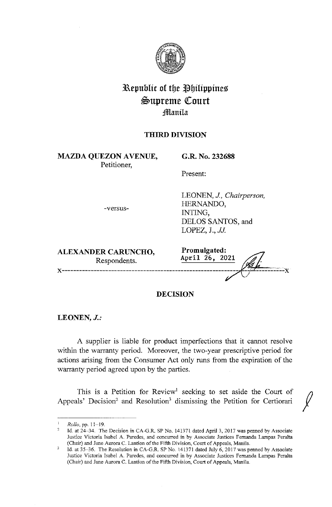

# **3Republic of tbe llbilippines**   $\mathfrak{S}$ upreme Court **;ffianila**

## **THIRD DIVISION**

**MAZDA QUEZON A VENUE,**  Petitioner,

**G.R. No. 232688** 

HERNANDO,

LOPEZ, **J.,** *JJ.* 

INTING,

LEONEN, *J., Chairperson,* 

DELOS SANTOS, and

Present:

-versus-

| <b>ALEXANDER CARUNCHO,</b> | Promulgated:   |
|----------------------------|----------------|
| Respondents.               | April 26, 2021 |
|                            |                |

## **DECISION**

**LEONEN,** *J.:* 

A supplier is liable for product imperfections that it cannot resolve within the warranty period. Moreover, the two-year prescriptive period for actions arising from the Consumer Act only runs from the expiration of the warranty period agreed upon by the parties.

This is a Petition for Review<sup>1</sup> seeking to set aside the Court of Appeals' Decision<sup>2</sup> and Resolution<sup>3</sup> dismissing the Petition for Certiorari

Rcllo,pp.11-19.

<sup>2</sup>  Id. at 24-34. The Decision in CA-G.R. SP No. 141371 dated April 3, 2017 was penned by Associate Justice Victoria Isabel A. Paredes, and concurred in by Associate Justices Fernanda Lampas Peralta (Chair) and Jane Aurora C. Lantion of the Fifth Division, Court of Appeals, Manila.

Id. at 35-36. The Resolution in CA-G.R. SP No. 141371 dated July 6, 2017 was penned by Associate Justice Victoria Isabel A. Paredes, and concurred in by Associate Justices Fernanda Larnpas Peralta (Chair) and Jane Aurora C. Lantion of the Fifth Division, Court of Appeals, Manila.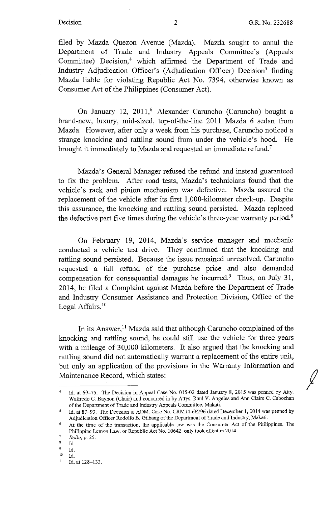$\int$ 

filed by Mazda Quezon Avenue (Mazda). Mazda sought to annul the Department of Trade and Industry Appeals Committee's (Appeals Committee) Decision,<sup>4</sup> which affirmed the Department of Trade and Industry Adjudication Officer's (Adjudication Officer) Decision<sup>5</sup> finding Mazda liable for violating Republic Act No. 7394, otherwise known as Consumer Act of the Philippines (Consumer Act).

On January 12, 2011,<sup>6</sup> Alexander Caruncho (Caruncho) bought a brand-new, luxury, mid-sized, top-of-the-line 2011 Mazda 6 sedan from Mazda. However, after only a week from his purchase, Caruncho noticed a strange knocking and rattling sound from under the vehicle's hood. He brought it immediately to Mazda and requested an immediate refund.<sup>7</sup>

Mazda's General Manager refused the refund and instead guaranteed to fix the problem. After road tests, Mazda's technicians found that the vehicle's rack and pinion mechanism was defective. Mazda assured the replacement of the vehicle after its first 1,000-kilometer check-up. Despite this assurance, the knocking and rattling sound persisted. Mazda replaced the defective part five times during the vehicle's three-year warranty period.<sup>8</sup>

On February 19, 2014, Mazda's service manager and mechanic conducted a vehicle test drive. They confirmed that the knocking and rattling sound persisted. Because the issue remained unresolved, Caruncho requested a full refund of the purchase price and also demanded compensation for consequential damages he incurred.<sup>9</sup> Thus, on July 31, 2014, he filed a Complaint against Mazda before the Department of Trade and Industry Consumer Assistance and Protection Division, Office of the Legal Affairs.<sup>10</sup>

In its Answer,<sup>11</sup> Mazda said that although Caruncho complained of the knocking and rattling sound, he could still use the vehicle for three years with a mileage of 30,000 kilometers. It also argued that the knocking and rattling sound did not automatically warrant a replacement of the entire unit, but only an application of the provisions in the Warranty Information and Maintenance Record, which states:

<sup>&</sup>lt;sup>4</sup> Id. at 69-75. The Decision in Appeal Case No. 015-02 dated January 8, 2015 was penned by Atty. Walfredo C. Bayhon (Chair) and concurred in by Attys. Raul V. Angeles and Ann Claire C. Cabochan of the Department of Trade and Industry Appeals Committee, Makati.

 $\overline{5}$ Id. at 87-93. The Decision in ADM. Case No. CRMI4-66296 dated December 1, 2014 was penned by Adjudication Officer Rodolfo B. Gilbang of the Department of Trade and Industry, Makati.

<sup>&</sup>lt;sup>6</sup> At the time of the transaction, the applicable law was the Consumer Act of the Philippines. The Philippine Lemon Law, or Republic Act No. 10642, only took effect in 2014.

<sup>7</sup>*Rollo,* p. 25.

 $\frac{8}{9}$  Id.

 $\frac{9}{10}$  Id.

 $\frac{10}{11}$  Id. at 128-133.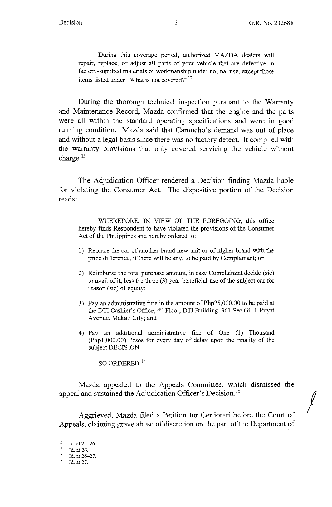$\int$ 

During this coverage period, authorized MAZDA dealers will repair, replace, or adjust all parts of your vehicle that are defective in factory-supplied materials or workmanship under normal use, except those items listed under "What is not covered?"<sup>12</sup>

During the thorough technical inspection pursuant to the Warranty and Maintenance Record, Mazda confirmed that the engine and the parts were all within the standard operating specifications and were in good running condition. Mazda said that Caruncho's demand was out of place and without a legal basis since there was no factory defect. It complied with the warranty provisions that only covered servicing the vehicle without charge.<sup>13</sup>

The Adjudication Officer rendered a Decision finding Mazda liable for violating the Consumer Act. The dispositive portion of the Decision reads:

WHEREFORE, IN VIEW OF THE FOREGOING, this office hereby finds Respondent to have violated the provisions of the Consumer Act of the Philippines and hereby ordered to:

- 1) Replace the car of another brand new unit or of higher brand with the price difference, if there will be any, to be paid by Complainant; or
- 2) Reimburse the total purchase amount, in case Complainant decide (sic) to avail of it, less the three (3) year beneficial use of the subject car for reason (sic) of equity;
- 3) Pay an administrative fine in the amount of Php25,000.00 to be paid at the DTI Cashier's Office, 4<sup>th</sup> Floor, DTI Building, 361 Sec Gil J. Puyat A venue, Makati City; and
- 4) Pay an additional administrative fine of One (1) Thousand (Phpl,000.00) Pesos for every day of delay upon the finality of the subject DECISION.

SO ORDERED.<sup>14</sup>

Mazda appealed to the Appeals Committee, which dismissed the appeal and sustained the Adjudication Officer's Decision. <sup>15</sup>

Aggrieved, Mazda filed a Petition for Certiorari before the Court of Appeals, claiming grave abuse of discretion on the part of the Department of

<sup>12</sup> Id. at  $25-26$ .<br>
13 Id. at 26.<br>
14 Id. at  $26-27$ .

<sup>15</sup> Id. at 27.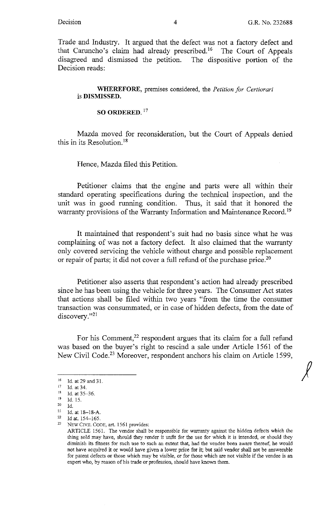*j* 

Trade and Industry. It argued that the defect was not a factory defect and that Caruncho's claim had already prescribed.<sup>16</sup> The Court of Appeals disagreed and dismissed the petition. The dispositive portion of the Decision reads:

**WHEREFORE,** premises considered, the *Petition for Certiorari*  is **DISMISSED.** 

**SO ORDERED.** <sup>17</sup>

Mazda moved for reconsideration, but the Court of Appeals denied this in its Resolution.<sup>18</sup>

Hence, Mazda filed this Petition.

Petitioner claims that the engine and parts were all within their standard operating specifications during the technical inspection, and the unit was in good running condition. Thus, it said that it honored the warranty provisions of the Warranty Information and Maintenance Record.<sup>19</sup>

It maintained that respondent's suit had no basis since what he was complaining of was not a factory defect. It also claimed that the warranty only covered servicing the vehicle without charge and possible replacement or repair of parts; it did not cover a full refund of the purchase price.<sup>20</sup>

Petitioner also asserts that respondent's action had already prescribed since he has been using the vehicle for three years. The Consumer Act states that actions shall be filed within two years "from the time the consumer transaction was consummated, or in case of hidden defects, from the date of discovery."<sup>21</sup>

For his Comment, $22$  respondent argues that its claim for a full refund was based on the buyer's right to rescind a sale under Article 1561 of the New Civil Code.<sup>23</sup> Moreover, respondent anchors his claim on Article 1599,

<sup>&</sup>lt;sup>16</sup> Id. at 29 and 31.<br><sup>17</sup> Id. at 34.<br><sup>18</sup> Id. at 35-36.<br><sup>19</sup> Id. 15

 $^{19}$  Id. 15.<br>20 Id.

<sup>&</sup>lt;sup>20</sup> Id.<br><sup>21</sup> Id. at 18–18-A.<br><sup>22</sup> Id at 154–165.

<sup>&</sup>lt;sup>23</sup> NEW CIVIL CODE, art. 1561 provides:

ARTICLE 1561. The vendor shall be responsible for warranty against the hidden defects which the thing sold may have, shonld they render it unfit for the use for which it is intended, or should they diminish its fitness for such use to such an extent that, had the vendee been aware thereof, he would not have acquired it or would have given a lower price for it; but said vendor shall not be answerable for patent defects or those which may be visible, or for those which are not visible if the vendee is an expert who, by reason of his trade or profession, should have known them.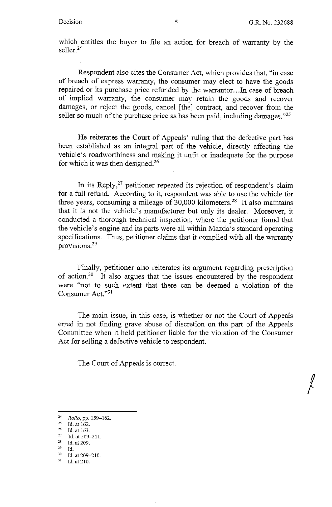*!* 

which entitles the buyer to file an action for breach of warranty by the seller.<sup>24</sup>

Respondent also cites the Consumer Act, which provides that, "in case of breach of express warranty, the consumer may elect to have the goods repaired or its purchase price refunded by the warrantor. .. In case of breach of implied warranty, the consumer may retain the goods and recover damages, or reject the goods, cancel [the] contract, and recover from the seller so much of the purchase price as has been paid, including damages."<sup>25</sup>

He reiterates the Court of Appeals' ruling that the defective part has been established as an integral part of the vehicle, directly affecting the vehicle's roadworthiness and making it unfit or inadequate for the purpose for which it was then designed.<sup>26</sup>

In its Reply, $27$  petitioner repeated its rejection of respondent's claim for a full refund. According to it, respondent was able to use the vehicle for three years, consuming a mileage of  $30,000$  kilometers.<sup>28</sup> It also maintains that it is not the vehicle's manufacturer but only its dealer. Moreover, it conducted a thorough technical inspection, where the petitioner found that the vehicle's engine and its parts were all within Mazda's standard operating specifications. Thus, petitioner claims that it complied with all the warranty provisions. 29

Finally, petitioner also reiterates its argument regarding prescription of action.30 It also argues that the issues encountered by the respondent were "not to such extent that there can be deemed a violation of the Consumer Act."31

The main issue, in this case, is whether or not the Court of Appeals erred in not finding grave abuse of discretion on the part of the Appeals Committee when it held petitioner liable for the violation of the Consumer Act for selling a defective vehicle to respondent.

The Court of Appeals is correct.

<sup>24</sup> *Rollo.* pp. 159-162.

<sup>&</sup>lt;sup>25</sup> Id. at 162.<br><sup>26</sup> Id. at 163.<br><sup>27</sup> Id. at 209-211.

<sup>&</sup>lt;sup>28</sup> Id. at 209.<br><sup>29</sup> Id. at 209-210.<br><sup>31</sup> Id. at 210.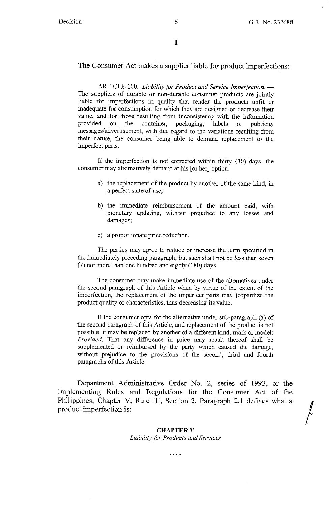The Consumer Act makes a supplier liable for product imperfections:

ARTICLE 100. *Liability for Product and Service Imperfection.* - The suppliers of durable or non-durable consumer products are jointly liable for imperfections in quality that render the products unfit or inadequate for consumption for which they are designed or decrease their value, and for those resulting from inconsistency with the information provided on the container, packaging, labels or publicity messages/advertisement, with due regard to the variations resulting from their nature, the consumer being able to demand replacement to the imperfect parts.

If the imperfection is not corrected within thirty (30) days, the consumer may alternatively demand at his [or her] option:

- a) the replacement of the product by another of the same kind, in a perfect state of use;
- b) the immediate reimbursement of the amount paid, with monetary updating, without prejudice to any losses and damages;
- c) a proportionate price reduction.

The parties may agree to reduce or increase the term specified in the immediately preceding paragraph; but such shall not be less than seven (7) nor more than one hundred and eighty (180) days.

The consumer may make immediate use of the alternatives under the second paragraph of this Article when by virtue of the extent of the imperfection, the replacement of the imperfect parts may jeopardize the product quality or characteristics, thus decreasing its value.

If the consumer opts for the alternative under sub-paragraph (a) of the second paragraph of this Article, and replacement of the product is not possible, it may be replaced by another of a different kind, mark or model: *Provided,* That any difference in price may result thereof shall be supplemented or reimbursed by the party which caused the damage, without prejudice to the provisions of the second, third and fourth paragraphs of this Article.

Department Administrative Order No. 2, series of 1993, or the Implementing Rules and Regulations for the Consumer Act of the product imperfection is: Philippines, Chapter V, Rule III, Section 2, Paragraph 2.1 defines what a

#### **CHAPTERV**  *Liability for Products and Services*

 $\ldots$  .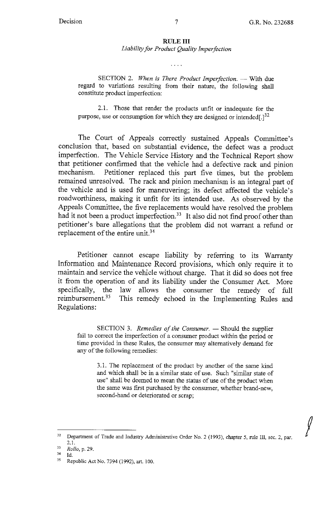$\int$ 

## **RULEIII**

*Liability for Product Quality Imperfection* 

 $\cdots$ 

SECTION 2. When is There Product Imperfection. - With due regard to variations resulting from their nature, the following shall constitute product imperfection:

2.1. Those that render the products unfit or inadequate for the purpose, use or consumption for which they are designed or intended $[.]^{32}$ 

The Court of Appeals correctly sustained Appeals Committee's conclusion that, based on substantial evidence, the defect was a product imperfection. The Vehicle Service History and the Technical Report show that petitioner confirmed that the vehicle had a defective rack and pinion mechanism. Petitioner replaced this part five times, but the problem remained unresolved. The rack and pinion mechanism is an integral part of the vehicle and is used for maneuvering; its defect affected the vehicle's roadworthiness, making it unfit for its intended use. As observed by the Appeals Committee, the five replacements would have resolved the problem had it not been a product imperfection.<sup>33</sup> It also did not find proof other than petitioner's bare allegations that the problem did not warrant a refund or replacement of the entire unit.<sup>34</sup>

Petitioner cannot escape liability by referring to its Warranty Information and Maintenance Record provisions, which only require it to maintain and service the vehicle without charge. That it did so does not free it from the operation of and its liability under the Consumer Act. More specifically, the law allows the consumer the remedy of full reimbursement.<sup>35</sup> This remedy echoed in the Implementing Rules and Regulations:

SECTION 3. *Remedies of the Consumer*. - Should the supplier fail to correct the imperfection of a consumer product within the period or time provided in these Rules, the consumer may alternatively demand for any of the following remedies:

3 .1. The replacement of the product by another of the same kind and which shall be in a similar state of use. Such "similar state of use" shall be deemed to mean the status of use of the product when the same was first purchased by the consumer, whether brand-new, second-hand or deteriorated or scrap;

<sup>&</sup>lt;sup>32</sup> Department of Trade and Industry Administrative Order No. 2 (1993), chapter 5, rule III, sec. 2, par. 2.1.

<sup>33</sup>*Rollo,* **p. 29.** 

 $^{34}$  Id.<br><sup>35</sup> Republic Act No. 7394 (1992), art. 100.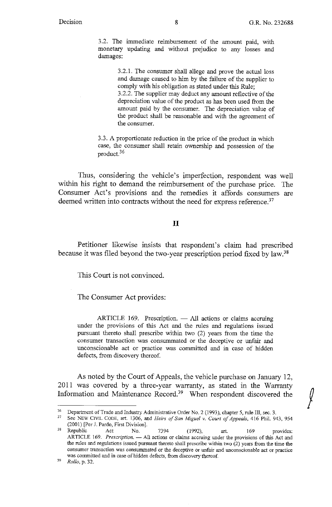3.2. The immediate reimbursement of the amount paid, with monetary updating and without prejudice to any losses and damages:

> 3 .2.1. The consumer shall allege and prove the actual loss and damage caused to him by the failure of the supplier to comply with his obligation as stated under this Rule;

> 3.2.2. The supplier may deduct any amount reflective of the depreciation value of the product as has been used from the amount paid by the consumer. The depreciation value of the product shall be reasonable and with the agreement of the consumer.

3 .3. A proportionate reduction in the price of the product in which case, the consumer shall retain ownership and possession of the product.<sup>36</sup>

Thus, considering the vehicle's imperfection, respondent was well within his right to demand the reimbursement of the purchase price. The Consumer Act's provisions and the remedies it affords consumers are deemed written into contracts without the need for express reference.<sup>37</sup>

### II

Petitioner likewise insists that respondent's claim had prescribed because it was filed beyond the two-year prescription period fixed by law. <sup>38</sup>

This Court is not convinced.

The Consumer Act provides:

 $ARTICLE$  169. Prescription.  $-$  All actions or claims accruing under the provisions of this Act and the rules and regulations issued pursuant thereto shall prescribe within two (2) years from the time the consumer transaction was consummated or the deceptive or unfair and unconscionable act or practice was committed and in case of hidden defects, from discovery thereof.

As noted by the Court of Appeals, the vehicle purchase on January 12, 2011 was covered by a three-year warranty, as stated in the Warranty As noted by the Court of Appeals, the vehicle purchase on January 12,<br>2011 was covered by a three-year warranty, as stated in the Warranty<br>Information and Maintenance Record.<sup>39</sup> When respondent discovered the  $\int$ 

<sup>&</sup>lt;sup>36</sup> Department of Trade and Industry Administrative Order No. 2 (1993), chapter 5, rule III, sec. 3.<br><sup>37</sup> See NEW CIVIL CODE, art. 1306, and *Heirs of San Miguel v. Court of Appeals*, 416 Phil. 943, 954

<sup>(2001) [</sup>Per J. Pardo, First Division].

<sup>&</sup>lt;sup>38</sup> Republic Act No. 7394 (1992), art. 169 provides: Republic Act No. 7394 (1992), art. 169 provides:<br>ARTICLE 169. *Prescription*. — All actions or claims accruing under the provisions of this Act and the rules and regulations issued pursuant thereto shall prescribe within two (2) years from the time the **consumer transaction was consummated or the deceptive or unfair and unconscionable act or practice**  was committed and in case of hidden defects, from discovery thereof.

<sup>39</sup> *Rollo,* p. 32.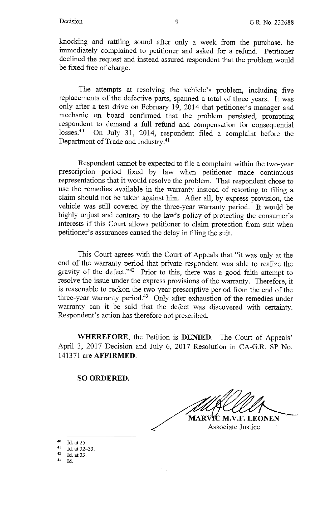knocking and rattling sound after only a week from the purchase, he immediately complained to petitioner and asked for a refund. Petitioner declined the request and instead assured respondent that the problem would be fixed free of charge.

The attempts at resolving the vehicle's problem, including five replacements of the defective parts, spanned a total of three years. It was only after a test drive on February 19, 2014 that petitioner's manager and mechanic on board confinned that the problem persisted, prompting respondent to demand a full refund and compensation for consequential losses.<sup>40</sup> On July 31, 2014, respondent filed a complaint before the Department of Trade and Industry.<sup>41</sup>

Respondent cannot be expected to file a complaint within the two-year prescription period fixed by law when petitioner made continuous representations that it would resolve the problem. That respondent chose to use the remedies available in the warranty instead of resorting to filing a claim should not be taken against him. After all, by express provision, the vehicle was still covered by the three-year warranty period. It would be highly unjust and contrary to the law's policy of protecting the consumer's interests if this Court allows petitioner to claim protection from suit when petitioner's assurances caused the delay in filing the suit.

This Court agrees with the Court of Appeals that "it was only at the end of the warranty period that private respondent was able to realize the gravity of the defect."42 Prior to this, there was a good faith attempt to resolve the issue under the express provisions of the warranty. Therefore, it is reasonable to reckon the two-year prescriptive period from the end of the three-year warranty period.43 Only after exhaustion of the remedies under warranty can it be said that the defect was discovered with certainty. Respondent's action has therefore not prescribed.

**WHEREFORE,** the Petition is **DENIED.** The Court of Appeals' April 3, 2017 Decision and July 6, 2017 Resolution in CA-G.R. SP No. 141371 are **AFFIRMED.** 

## **SO ORDERED.**

**MARVYC M.V.F. LEONEN** 

Associate Justice

40 Id. at 25.<br>
41 Id. at 32–33.<br>
42 Id. at 33.

 $1<sub>d</sub>$